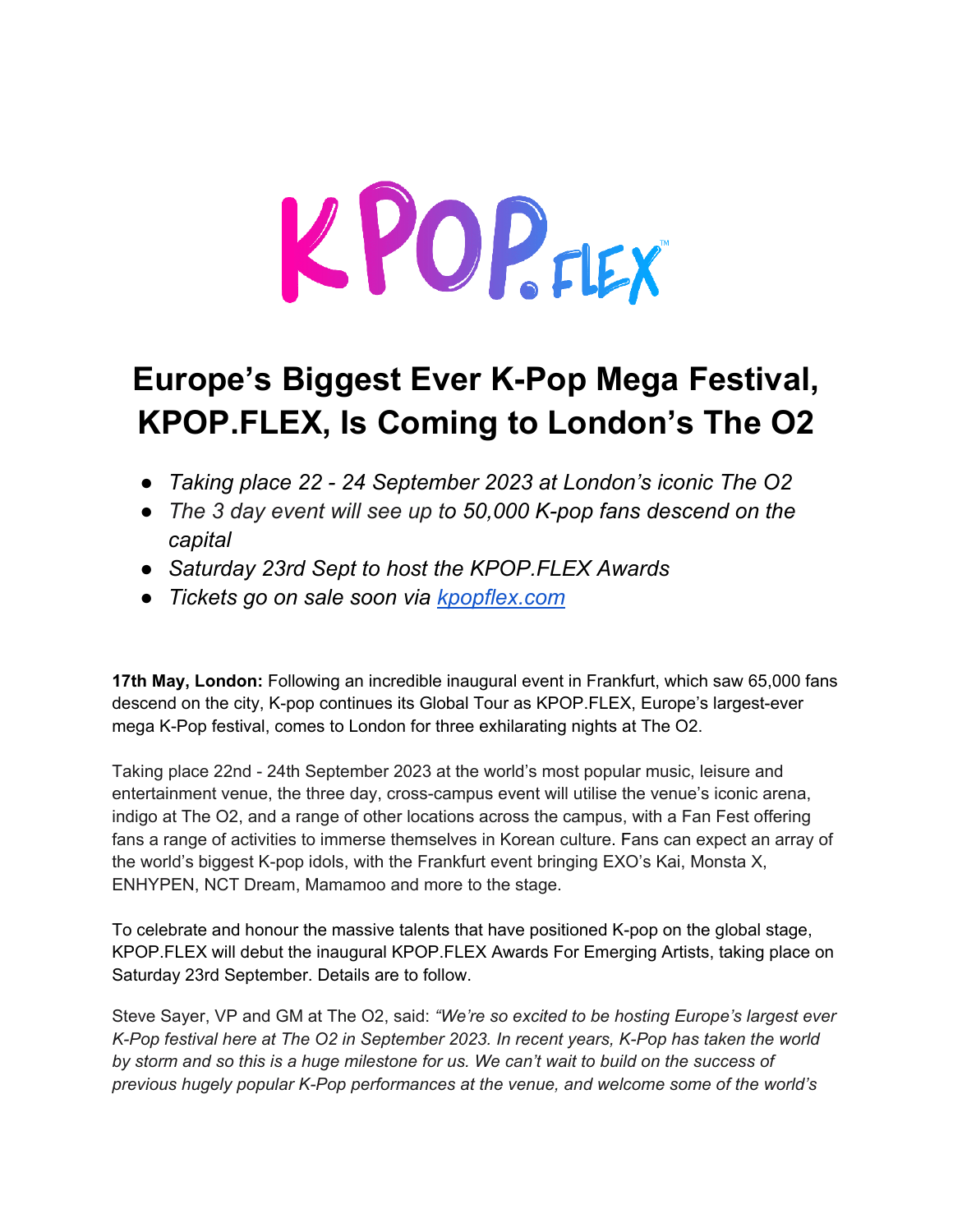# KPOPFIEX

# **Europe's Biggest Ever K-Pop Mega Festival, KPOP.FLEX, Is Coming to London's The O2**

- *Taking place 22 24 September 2023 at London's iconic The O2*
- *The 3 day event will see up to 50,000 K-pop fans descend on the capital*
- *Saturday 23rd Sept to host the KPOP.FLEX Awards*
- *Tickets go on sale soon via [kpopflex.com](http://kpopflex.com/)*

**17th May, London:** Following an incredible inaugural event in Frankfurt, which saw 65,000 fans descend on the city, K-pop continues its Global Tour as KPOP.FLEX, Europe's largest-ever mega K-Pop festival, comes to London for three exhilarating nights at The O2.

Taking place 22nd - 24th September 2023 at the world's most popular music, leisure and entertainment venue, the three day, cross-campus event will utilise the venue's iconic arena, indigo at The O2, and a range of other locations across the campus, with a Fan Fest offering fans a range of activities to immerse themselves in Korean culture. Fans can expect an array of the world's biggest K-pop idols, with the Frankfurt event bringing EXO's Kai, Monsta X, ENHYPEN, NCT Dream, Mamamoo and more to the stage.

To celebrate and honour the massive talents that have positioned K-pop on the global stage, KPOP.FLEX will debut the inaugural KPOP.FLEX Awards For Emerging Artists, taking place on Saturday 23rd September. Details are to follow.

Steve Sayer, VP and GM at The O2, said: *"We're so excited to be hosting Europe's largest ever K-Pop festival here at The O2 in September 2023. In recent years, K-Pop has taken the world by storm and so this is a huge milestone for us. We can't wait to build on the success of previous hugely popular K-Pop performances at the venue, and welcome some of the world's*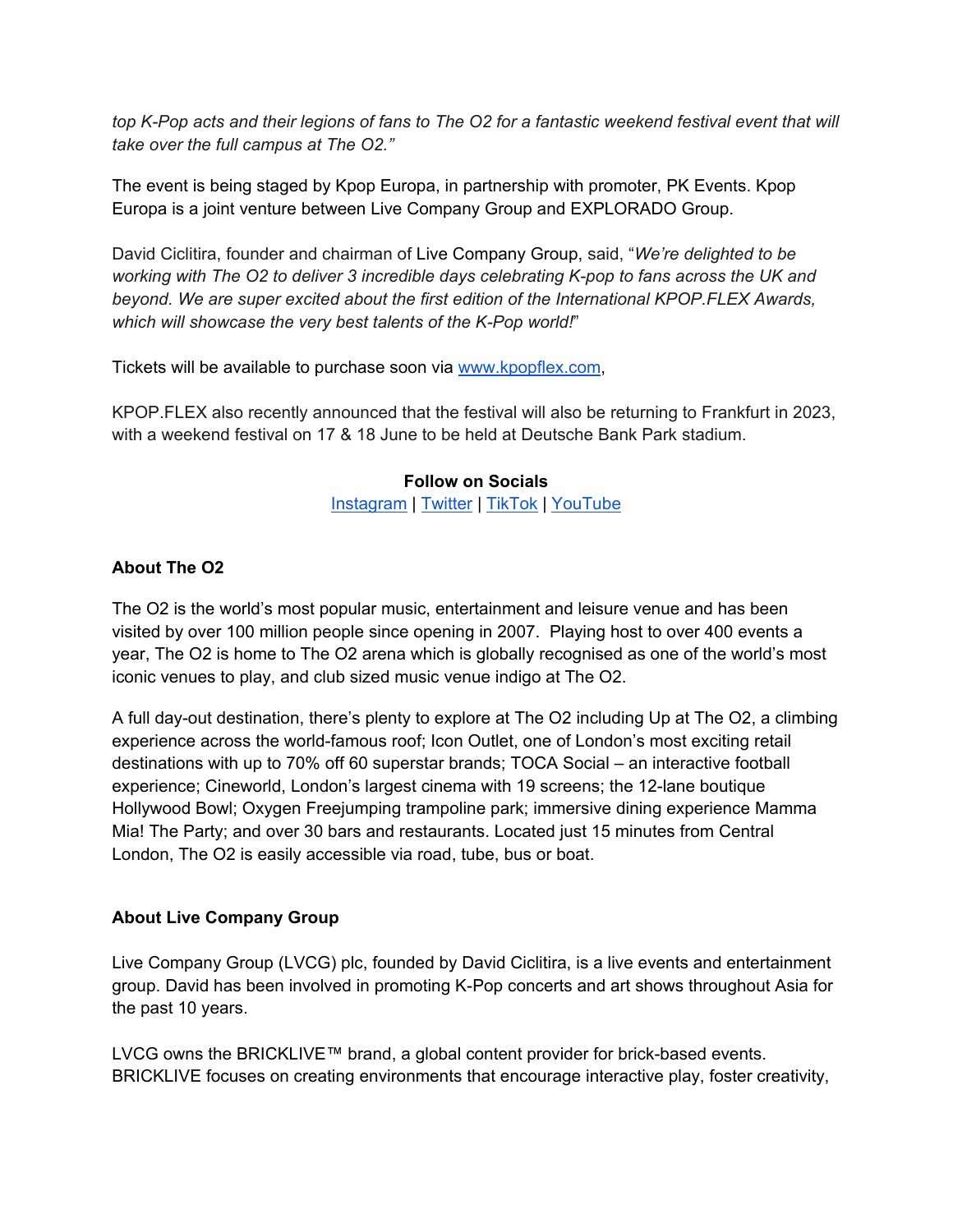*top K-Pop acts and their legions of fans to The O2 for a fantastic weekend festival event that will take over the full campus at The O2."*

The event is being staged by Kpop Europa, in partnership with promoter, PK Events. Kpop Europa is a joint venture between Live Company Group and EXPLORADO Group.

David Ciclitira, founder and chairman of Live Company Group, said, "*We're delighted to be working with The O2 to deliver 3 incredible days celebrating K-pop to fans across the UK and beyond. We are super excited about the first edition of the International KPOP.FLEX Awards, which will showcase the very best talents of the K-Pop world!*"

Tickets will be available to purchase soon via [www.kpopflex.com,](http://www.kpopflex.com/)

KPOP.FLEX also recently announced that the festival will also be returning to Frankfurt in 2023, with a weekend festival on 17 & 18 June to be held at Deutsche Bank Park stadium.

### **Follow on Socials**

[Instagram](https://www.instagram.com/kpop.flex_/?hl=en) | [Twitter](https://twitter.com/Kpop_flex) | [TikTok](https://www.tiktok.com/@Kpop.flex_) | [YouTube](https://www.youtube.com/channel/UCIr35JNWYIGe3jYN7Ub3jfA)

# **About The O2**

The O2 is the world's most popular music, entertainment and leisure venue and has been visited by over 100 million people since opening in 2007. Playing host to over 400 events a year, The O2 is home to The O2 arena which is globally recognised as one of the world's most iconic venues to play, and club sized music venue indigo at The O2.

A full day-out destination, there's plenty to explore at The O2 including Up at The O2, a climbing experience across the world-famous roof; Icon Outlet, one of London's most exciting retail destinations with up to 70% off 60 superstar brands; TOCA Social – an interactive football experience; Cineworld, London's largest cinema with 19 screens; the 12-lane boutique Hollywood Bowl; Oxygen Freejumping trampoline park; immersive dining experience Mamma Mia! The Party; and over 30 bars and restaurants. Located just 15 minutes from Central London, The O2 is easily accessible via road, tube, bus or boat.

#### **About Live Company Group**

Live Company Group (LVCG) plc, founded by David Ciclitira, is a live events and entertainment group. David has been involved in promoting K-Pop concerts and art shows throughout Asia for the past 10 years.

LVCG owns the BRICKLIVE™ brand, a global content provider for brick-based events. BRICKLIVE focuses on creating environments that encourage interactive play, foster creativity,